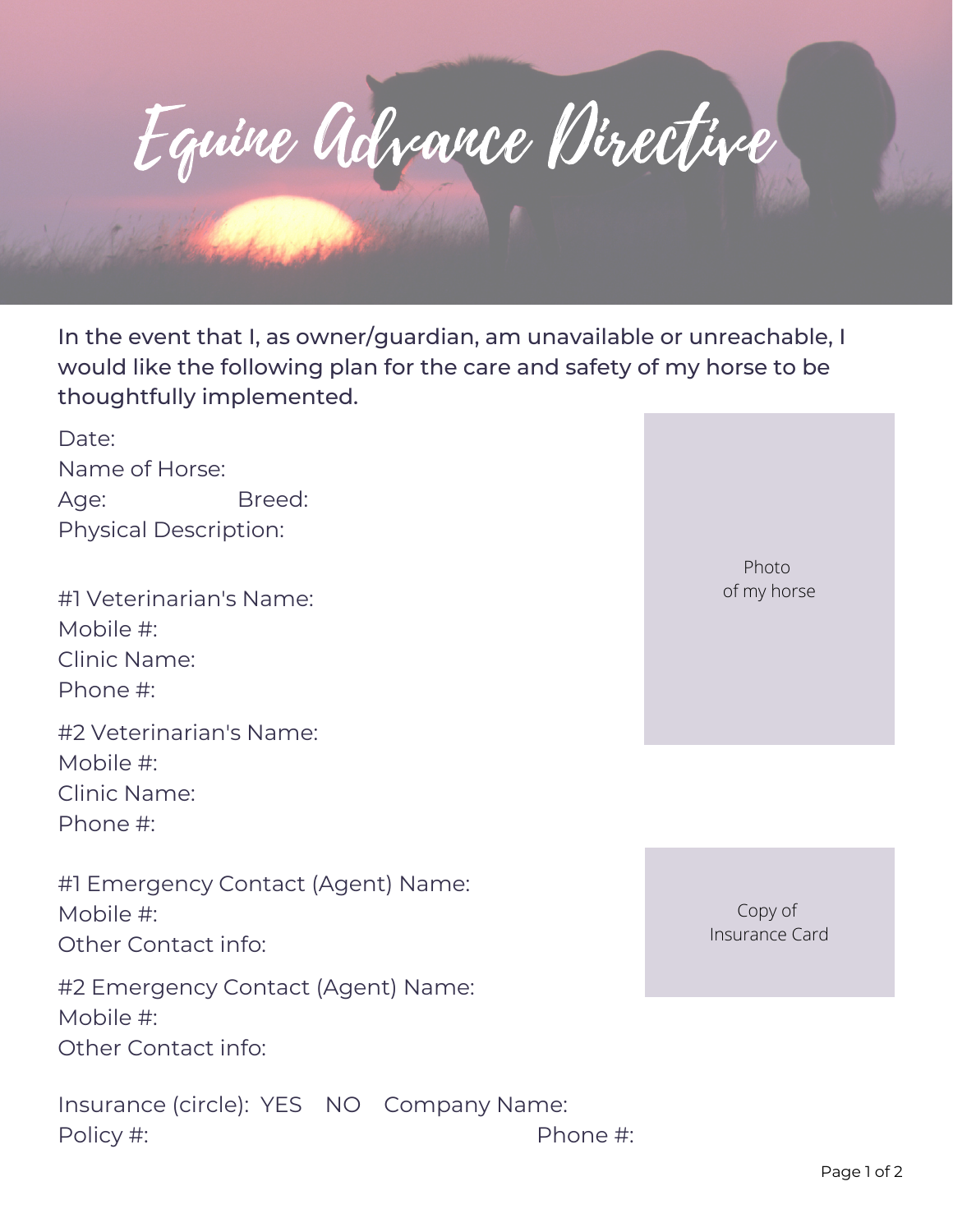

In the event that I, as owner/guardian, am unavailable or unreachable, I would like the following plan for the care and safety of my horse to be thoughtfully implemented.

Date: Name of Horse: Age: Breed: Physical Description:

#1 Veterinarian's Name: Mobile #: Clinic Name: Phone #: #2 Veterinarian's Name: Mobile #:

Clinic Name:

Phone #:

#1 Emergency Contact (Agent) Name: Mobile #: Other Contact info:

#2 Emergency Contact (Agent) Name: Mobile #: Other Contact info:

Insurance (circle): YES NO Company Name: Policy #: Phone #:

Photo of my horse

Copy of Insurance Card